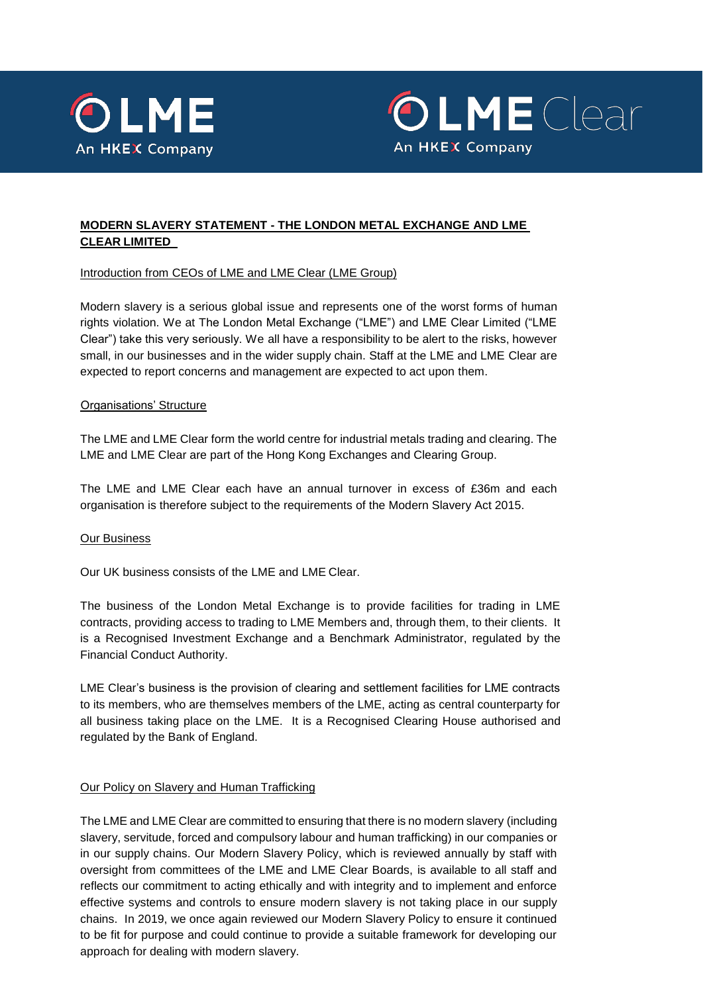



# **MODERN SLAVERY STATEMENT - THE LONDON METAL EXCHANGE AND LME CLEAR LIMITED**

Introduction from CEOs of LME and LME Clear (LME Group)

Modern slavery is a serious global issue and represents one of the worst forms of human rights violation. We at The London Metal Exchange ("LME") and LME Clear Limited ("LME Clear") take this very seriously. We all have a responsibility to be alert to the risks, however small, in our businesses and in the wider supply chain. Staff at the LME and LME Clear are expected to report concerns and management are expected to act upon them.

### Organisations' Structure

The LME and LME Clear form the world centre for industrial metals trading and clearing. The LME and LME Clear are part of the Hong Kong Exchanges and Clearing Group.

The LME and LME Clear each have an annual turnover in excess of £36m and each organisation is therefore subject to the requirements of the Modern Slavery Act 2015.

# Our Business

Our UK business consists of the LME and LME Clear.

The business of the London Metal Exchange is to provide facilities for trading in LME contracts, providing access to trading to LME Members and, through them, to their clients. It is a Recognised Investment Exchange and a Benchmark Administrator, regulated by the Financial Conduct Authority.

LME Clear's business is the provision of clearing and settlement facilities for LME contracts to its members, who are themselves members of the LME, acting as central counterparty for all business taking place on the LME. It is a Recognised Clearing House authorised and regulated by the Bank of England.

# Our Policy on Slavery and Human Trafficking

The LME and LME Clear are committed to ensuring that there is no modern slavery (including slavery, servitude, forced and compulsory labour and human trafficking) in our companies or in our supply chains. Our Modern Slavery Policy, which is reviewed annually by staff with oversight from committees of the LME and LME Clear Boards, is available to all staff and reflects our commitment to acting ethically and with integrity and to implement and enforce effective systems and controls to ensure modern slavery is not taking place in our supply chains. In 2019, we once again reviewed our Modern Slavery Policy to ensure it continued to be fit for purpose and could continue to provide a suitable framework for developing our approach for dealing with modern slavery.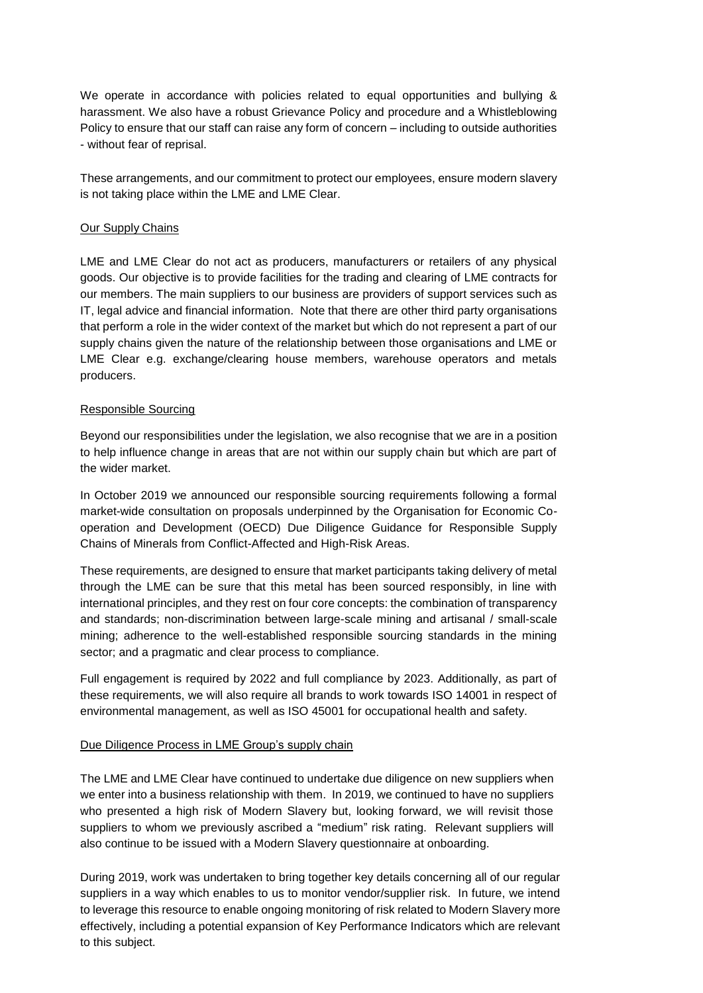We operate in accordance with policies related to equal opportunities and bullying & harassment. We also have a robust Grievance Policy and procedure and a Whistleblowing Policy to ensure that our staff can raise any form of concern – including to outside authorities - without fear of reprisal.

These arrangements, and our commitment to protect our employees, ensure modern slavery is not taking place within the LME and LME Clear.

### Our Supply Chains

LME and LME Clear do not act as producers, manufacturers or retailers of any physical goods. Our objective is to provide facilities for the trading and clearing of LME contracts for our members. The main suppliers to our business are providers of support services such as IT, legal advice and financial information. Note that there are other third party organisations that perform a role in the wider context of the market but which do not represent a part of our supply chains given the nature of the relationship between those organisations and LME or LME Clear e.g. exchange/clearing house members, warehouse operators and metals producers.

### Responsible Sourcing

Beyond our responsibilities under the legislation, we also recognise that we are in a position to help influence change in areas that are not within our supply chain but which are part of the wider market.

In October 2019 we announced our responsible sourcing requirements following a formal market-wide consultation on proposals underpinned by the Organisation for Economic Cooperation and Development (OECD) Due Diligence Guidance for Responsible Supply Chains of Minerals from Conflict-Affected and High-Risk Areas.

These requirements, are designed to ensure that market participants taking delivery of metal through the LME can be sure that this metal has been sourced responsibly, in line with international principles, and they rest on four core concepts: the combination of transparency and standards; non-discrimination between large-scale mining and artisanal / small-scale mining; adherence to the well-established responsible sourcing standards in the mining sector; and a pragmatic and clear process to compliance.

Full engagement is required by 2022 and full compliance by 2023. Additionally, as part of these requirements, we will also require all brands to work towards ISO 14001 in respect of environmental management, as well as ISO 45001 for occupational health and safety.

#### Due Diligence Process in LME Group's supply chain

The LME and LME Clear have continued to undertake due diligence on new suppliers when we enter into a business relationship with them. In 2019, we continued to have no suppliers who presented a high risk of Modern Slavery but, looking forward, we will revisit those suppliers to whom we previously ascribed a "medium" risk rating. Relevant suppliers will also continue to be issued with a Modern Slavery questionnaire at onboarding.

During 2019, work was undertaken to bring together key details concerning all of our regular suppliers in a way which enables to us to monitor vendor/supplier risk. In future, we intend to leverage this resource to enable ongoing monitoring of risk related to Modern Slavery more effectively, including a potential expansion of Key Performance Indicators which are relevant to this subject.